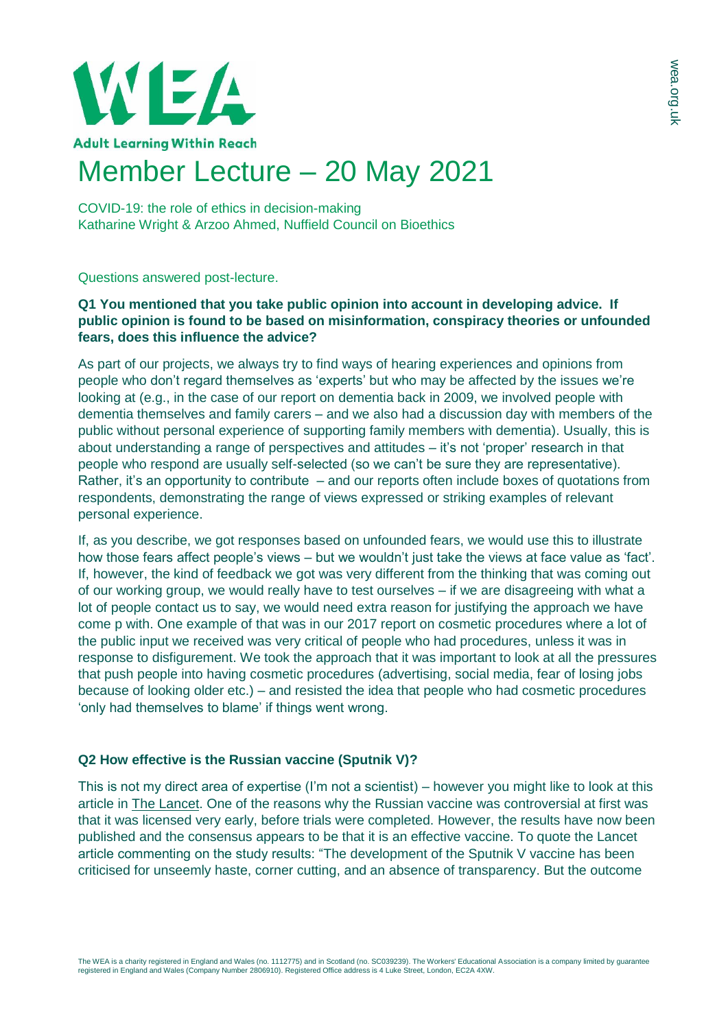

## Member Lecture – 20 May 2021

COVID-19: the role of ethics in decision-making Katharine Wright & Arzoo Ahmed, Nuffield Council on Bioethics

Questions answered post-lecture.

## **Q1 You mentioned that you take public opinion into account in developing advice. If public opinion is found to be based on misinformation, conspiracy theories or unfounded fears, does this influence the advice?**

As part of our projects, we always try to find ways of hearing experiences and opinions from people who don't regard themselves as 'experts' but who may be affected by the issues we're looking at (e.g., in the case of our report on dementia back in 2009, we involved people with dementia themselves and family carers – and we also had a discussion day with members of the public without personal experience of supporting family members with dementia). Usually, this is about understanding a range of perspectives and attitudes – it's not 'proper' research in that people who respond are usually self-selected (so we can't be sure they are representative). Rather, it's an opportunity to contribute – and our reports often include boxes of quotations from respondents, demonstrating the range of views expressed or striking examples of relevant personal experience.

If, as you describe, we got responses based on unfounded fears, we would use this to illustrate how those fears affect people's views – but we wouldn't just take the views at face value as 'fact'. If, however, the kind of feedback we got was very different from the thinking that was coming out of our working group, we would really have to test ourselves – if we are disagreeing with what a lot of people contact us to say, we would need extra reason for justifying the approach we have come p with. One example of that was in our 2017 report on cosmetic procedures where a lot of the public input we received was very critical of people who had procedures, unless it was in response to disfigurement. We took the approach that it was important to look at all the pressures that push people into having cosmetic procedures (advertising, social media, fear of losing jobs because of looking older etc.) – and resisted the idea that people who had cosmetic procedures 'only had themselves to blame' if things went wrong.

## **Q2 How effective is the Russian vaccine (Sputnik V)?**

This is not my direct area of expertise (I'm not a scientist) – however you might like to look at this article in [The Lancet.](https://www.thelancet.com/journals/lancet/article/PIIS0140-6736(21)00191-4/fulltext) One of the reasons why the Russian vaccine was controversial at first was that it was licensed very early, before trials were completed. However, the results have now been published and the consensus appears to be that it is an effective vaccine. To quote the Lancet article commenting on the study results: "The development of the Sputnik V vaccine has been criticised for unseemly haste, corner cutting, and an absence of transparency. But the outcome